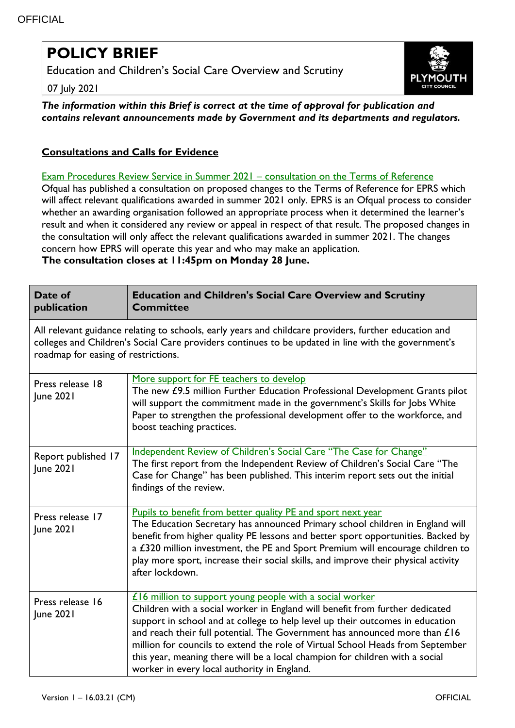## **POLICY BRIEF**

Education and Children's Social Care Overview and Scrutiny

07 July 2021



*The information within this Brief is correct at the time of approval for publication and contains relevant announcements made by Government and its departments and regulators.*

## **Consultations and Calls for Evidence**

## [Exam Procedures Review Service in Summer 2021](https://www.gov.uk/government/news/exam-procedures-review-service-in-summer-2021-consultation-on-the-terms-of-reference?utm_medium=email&utm_campaign=govuk-notifications&utm_source=4bf0e5be-d06c-4c91-b2cd-dd1adc8df12d&utm_content=immediately) – consultation on the Terms of Reference

Ofqual has published a consultation on proposed changes to the Terms of Reference for EPRS which will affect relevant qualifications awarded in summer 2021 only. EPRS is an Ofqual process to consider whether an awarding organisation followed an appropriate process when it determined the learner's result and when it considered any review or appeal in respect of that result. The proposed changes in the consultation will only affect the relevant qualifications awarded in summer 2021. The changes concern how EPRS will operate this year and who may make an application.

**The consultation closes at 11:45pm on Monday 28 June.**

| Date of<br>publication                                                                                                                                                                                                                              | <b>Education and Children's Social Care Overview and Scrutiny</b><br><b>Committee</b>                                                                                                                                                                                                                                                                                                                                                                                                                                    |  |
|-----------------------------------------------------------------------------------------------------------------------------------------------------------------------------------------------------------------------------------------------------|--------------------------------------------------------------------------------------------------------------------------------------------------------------------------------------------------------------------------------------------------------------------------------------------------------------------------------------------------------------------------------------------------------------------------------------------------------------------------------------------------------------------------|--|
| All relevant guidance relating to schools, early years and childcare providers, further education and<br>colleges and Children's Social Care providers continues to be updated in line with the government's<br>roadmap for easing of restrictions. |                                                                                                                                                                                                                                                                                                                                                                                                                                                                                                                          |  |
| Press release 18<br>June 2021                                                                                                                                                                                                                       | More support for FE teachers to develop<br>The new £9.5 million Further Education Professional Development Grants pilot<br>will support the commitment made in the government's Skills for Jobs White<br>Paper to strengthen the professional development offer to the workforce, and<br>boost teaching practices.                                                                                                                                                                                                       |  |
| Report published 17<br>June 2021                                                                                                                                                                                                                    | Independent Review of Children's Social Care "The Case for Change"<br>The first report from the Independent Review of Children's Social Care "The<br>Case for Change" has been published. This interim report sets out the initial<br>findings of the review.                                                                                                                                                                                                                                                            |  |
| Press release 17<br>June 2021                                                                                                                                                                                                                       | Pupils to benefit from better quality PE and sport next year<br>The Education Secretary has announced Primary school children in England will<br>benefit from higher quality PE lessons and better sport opportunities. Backed by<br>a £320 million investment, the PE and Sport Premium will encourage children to<br>play more sport, increase their social skills, and improve their physical activity<br>after lockdown.                                                                                             |  |
| Press release 16<br>June 2021                                                                                                                                                                                                                       | £16 million to support young people with a social worker<br>Children with a social worker in England will benefit from further dedicated<br>support in school and at college to help level up their outcomes in education<br>and reach their full potential. The Government has announced more than £16<br>million for councils to extend the role of Virtual School Heads from September<br>this year, meaning there will be a local champion for children with a social<br>worker in every local authority in England. |  |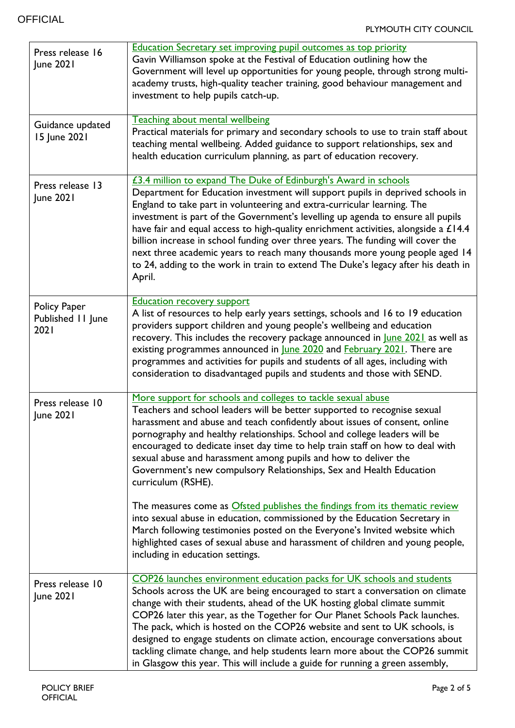| Press release 16<br>June 2021             | <b>Education Secretary set improving pupil outcomes as top priority</b><br>Gavin Williamson spoke at the Festival of Education outlining how the<br>Government will level up opportunities for young people, through strong multi-<br>academy trusts, high-quality teacher training, good behaviour management and<br>investment to help pupils catch-up.                                                                                                                                                                                                                                                                                                                                                                                                                                                                                                                                                             |
|-------------------------------------------|-----------------------------------------------------------------------------------------------------------------------------------------------------------------------------------------------------------------------------------------------------------------------------------------------------------------------------------------------------------------------------------------------------------------------------------------------------------------------------------------------------------------------------------------------------------------------------------------------------------------------------------------------------------------------------------------------------------------------------------------------------------------------------------------------------------------------------------------------------------------------------------------------------------------------|
| Guidance updated<br>15 June 2021          | Teaching about mental wellbeing<br>Practical materials for primary and secondary schools to use to train staff about<br>teaching mental wellbeing. Added guidance to support relationships, sex and<br>health education curriculum planning, as part of education recovery.                                                                                                                                                                                                                                                                                                                                                                                                                                                                                                                                                                                                                                           |
| Press release 13<br>June 2021             | £3.4 million to expand The Duke of Edinburgh's Award in schools<br>Department for Education investment will support pupils in deprived schools in<br>England to take part in volunteering and extra-curricular learning. The<br>investment is part of the Government's levelling up agenda to ensure all pupils<br>have fair and equal access to high-quality enrichment activities, alongside a $£14.4$<br>billion increase in school funding over three years. The funding will cover the<br>next three academic years to reach many thousands more young people aged 14<br>to 24, adding to the work in train to extend The Duke's legacy after his death in<br>April.                                                                                                                                                                                                                                             |
| Policy Paper<br>Published 11 June<br>2021 | <b>Education recovery support</b><br>A list of resources to help early years settings, schools and 16 to 19 education<br>providers support children and young people's wellbeing and education<br>recovery. This includes the recovery package announced in June 2021 as well as<br>existing programmes announced in June 2020 and February 2021. There are<br>programmes and activities for pupils and students of all ages, including with<br>consideration to disadvantaged pupils and students and those with SEND.                                                                                                                                                                                                                                                                                                                                                                                               |
| Press release 10<br>June 2021             | More support for schools and colleges to tackle sexual abuse<br>Teachers and school leaders will be better supported to recognise sexual<br>harassment and abuse and teach confidently about issues of consent, online<br>pornography and healthy relationships. School and college leaders will be<br>encouraged to dedicate inset day time to help train staff on how to deal with<br>sexual abuse and harassment among pupils and how to deliver the<br>Government's new compulsory Relationships, Sex and Health Education<br>curriculum (RSHE).<br>The measures come as Ofsted publishes the findings from its thematic review<br>into sexual abuse in education, commissioned by the Education Secretary in<br>March following testimonies posted on the Everyone's Invited website which<br>highlighted cases of sexual abuse and harassment of children and young people,<br>including in education settings. |
| Press release 10<br>June 2021             | COP26 launches environment education packs for UK schools and students<br>Schools across the UK are being encouraged to start a conversation on climate<br>change with their students, ahead of the UK hosting global climate summit<br>COP26 later this year, as the Together for Our Planet Schools Pack launches.<br>The pack, which is hosted on the COP26 website and sent to UK schools, is<br>designed to engage students on climate action, encourage conversations about<br>tackling climate change, and help students learn more about the COP26 summit<br>in Glasgow this year. This will include a guide for running a green assembly,                                                                                                                                                                                                                                                                    |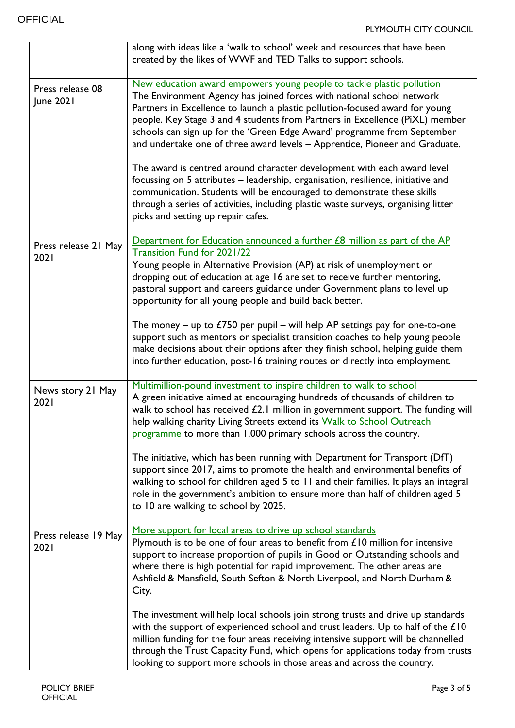|                               | along with ideas like a 'walk to school' week and resources that have been<br>created by the likes of WWF and TED Talks to support schools.                                                                                                                                                                                                                                                                                                                                                                                                                                                                                                                                                                                                                                                             |
|-------------------------------|---------------------------------------------------------------------------------------------------------------------------------------------------------------------------------------------------------------------------------------------------------------------------------------------------------------------------------------------------------------------------------------------------------------------------------------------------------------------------------------------------------------------------------------------------------------------------------------------------------------------------------------------------------------------------------------------------------------------------------------------------------------------------------------------------------|
| Press release 08<br>June 2021 | New education award empowers young people to tackle plastic pollution<br>The Environment Agency has joined forces with national school network<br>Partners in Excellence to launch a plastic pollution-focused award for young<br>people. Key Stage 3 and 4 students from Partners in Excellence (PiXL) member<br>schools can sign up for the 'Green Edge Award' programme from September<br>and undertake one of three award levels - Apprentice, Pioneer and Graduate.<br>The award is centred around character development with each award level<br>focussing on 5 attributes - leadership, organisation, resilience, initiative and<br>communication. Students will be encouraged to demonstrate these skills<br>through a series of activities, including plastic waste surveys, organising litter |
| Press release 21 May<br>2021  | picks and setting up repair cafes.<br>Department for Education announced a further £8 million as part of the AP<br>Transition Fund for 2021/22<br>Young people in Alternative Provision (AP) at risk of unemployment or<br>dropping out of education at age 16 are set to receive further mentoring,<br>pastoral support and careers guidance under Government plans to level up<br>opportunity for all young people and build back better.                                                                                                                                                                                                                                                                                                                                                             |
|                               | The money – up to $£750$ per pupil – will help AP settings pay for one-to-one<br>support such as mentors or specialist transition coaches to help young people<br>make decisions about their options after they finish school, helping guide them<br>into further education, post-16 training routes or directly into employment.                                                                                                                                                                                                                                                                                                                                                                                                                                                                       |
| News story 21 May<br>2021     | Multimillion-pound investment to inspire children to walk to school<br>A green initiative aimed at encouraging hundreds of thousands of children to<br>walk to school has received £2.1 million in government support. The funding will<br>help walking charity Living Streets extend its Walk to School Outreach<br>programme to more than 1,000 primary schools across the country.<br>The initiative, which has been running with Department for Transport (DfT)<br>support since 2017, aims to promote the health and environmental benefits of<br>walking to school for children aged 5 to 11 and their families. It plays an integral<br>role in the government's ambition to ensure more than half of children aged 5<br>to 10 are walking to school by 2025.                                    |
| Press release 19 May<br>2021  | More support for local areas to drive up school standards<br>Plymouth is to be one of four areas to benefit from $£10$ million for intensive<br>support to increase proportion of pupils in Good or Outstanding schools and<br>where there is high potential for rapid improvement. The other areas are<br>Ashfield & Mansfield, South Sefton & North Liverpool, and North Durham &<br>City.                                                                                                                                                                                                                                                                                                                                                                                                            |
|                               | The investment will help local schools join strong trusts and drive up standards<br>with the support of experienced school and trust leaders. Up to half of the £10<br>million funding for the four areas receiving intensive support will be channelled<br>through the Trust Capacity Fund, which opens for applications today from trusts<br>looking to support more schools in those areas and across the country.                                                                                                                                                                                                                                                                                                                                                                                   |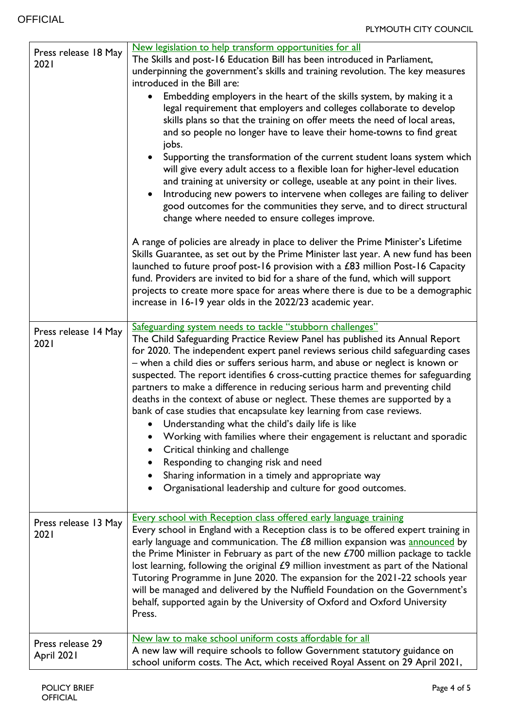|                      | New legislation to help transform opportunities for all                               |
|----------------------|---------------------------------------------------------------------------------------|
| Press release 18 May | The Skills and post-16 Education Bill has been introduced in Parliament,              |
| 2021                 | underpinning the government's skills and training revolution. The key measures        |
|                      | introduced in the Bill are:                                                           |
|                      | Embedding employers in the heart of the skills system, by making it a                 |
|                      |                                                                                       |
|                      | legal requirement that employers and colleges collaborate to develop                  |
|                      | skills plans so that the training on offer meets the need of local areas,             |
|                      | and so people no longer have to leave their home-towns to find great                  |
|                      | jobs.                                                                                 |
|                      | Supporting the transformation of the current student loans system which               |
|                      | will give every adult access to a flexible loan for higher-level education            |
|                      | and training at university or college, useable at any point in their lives.           |
|                      | Introducing new powers to intervene when colleges are failing to deliver<br>$\bullet$ |
|                      |                                                                                       |
|                      | good outcomes for the communities they serve, and to direct structural                |
|                      | change where needed to ensure colleges improve.                                       |
|                      |                                                                                       |
|                      | A range of policies are already in place to deliver the Prime Minister's Lifetime     |
|                      | Skills Guarantee, as set out by the Prime Minister last year. A new fund has been     |
|                      | launched to future proof post-16 provision with a £83 million Post-16 Capacity        |
|                      | fund. Providers are invited to bid for a share of the fund, which will support        |
|                      | projects to create more space for areas where there is due to be a demographic        |
|                      | increase in 16-19 year olds in the 2022/23 academic year.                             |
|                      |                                                                                       |
| Press release 14 May | Safeguarding system needs to tackle "stubborn challenges"                             |
| 2021                 | The Child Safeguarding Practice Review Panel has published its Annual Report          |
|                      | for 2020. The independent expert panel reviews serious child safeguarding cases       |
|                      | - when a child dies or suffers serious harm, and abuse or neglect is known or         |
|                      | suspected. The report identifies 6 cross-cutting practice themes for safeguarding     |
|                      | partners to make a difference in reducing serious harm and preventing child           |
|                      | deaths in the context of abuse or neglect. These themes are supported by a            |
|                      | bank of case studies that encapsulate key learning from case reviews.                 |
|                      | • Understanding what the child's daily life is like                                   |
|                      | Working with families where their engagement is reluctant and sporadic                |
|                      |                                                                                       |
|                      | Critical thinking and challenge                                                       |
|                      | Responding to changing risk and need                                                  |
|                      | Sharing information in a timely and appropriate way<br>$\bullet$                      |
|                      | Organisational leadership and culture for good outcomes.                              |
|                      |                                                                                       |
|                      | Every school with Reception class offered early language training                     |
| Press release 13 May | Every school in England with a Reception class is to be offered expert training in    |
| 2021                 | early language and communication. The £8 million expansion was announced by           |
|                      |                                                                                       |
|                      | the Prime Minister in February as part of the new $£700$ million package to tackle    |
|                      | lost learning, following the original £9 million investment as part of the National   |
|                      | Tutoring Programme in June 2020. The expansion for the 2021-22 schools year           |
|                      | will be managed and delivered by the Nuffield Foundation on the Government's          |
|                      | behalf, supported again by the University of Oxford and Oxford University             |
|                      | Press.                                                                                |
|                      |                                                                                       |
| Press release 29     | New law to make school uniform costs affordable for all                               |
| April 2021           | A new law will require schools to follow Government statutory guidance on             |
|                      | school uniform costs. The Act, which received Royal Assent on 29 April 2021,          |